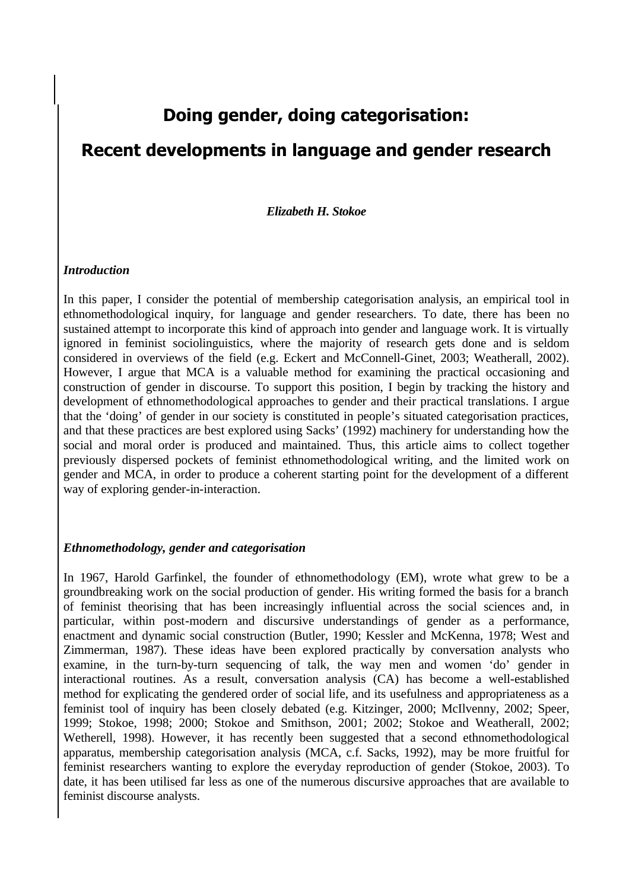# **Doing gender, doing categorisation:**

# **Recent developments in language and gender research**

#### *Elizabeth H. Stokoe*

#### *Introduction*

In this paper, I consider the potential of membership categorisation analysis, an empirical tool in ethnomethodological inquiry, for language and gender researchers. To date, there has been no sustained attempt to incorporate this kind of approach into gender and language work. It is virtually ignored in feminist sociolinguistics, where the majority of research gets done and is seldom considered in overviews of the field (e.g. Eckert and McConnell-Ginet, 2003; Weatherall, 2002). However, I argue that MCA is a valuable method for examining the practical occasioning and construction of gender in discourse. To support this position, I begin by tracking the history and development of ethnomethodological approaches to gender and their practical translations. I argue that the 'doing' of gender in our society is constituted in people's situated categorisation practices, and that these practices are best explored using Sacks' (1992) machinery for understanding how the social and moral order is produced and maintained. Thus, this article aims to collect together previously dispersed pockets of feminist ethnomethodological writing, and the limited work on gender and MCA, in order to produce a coherent starting point for the development of a different way of exploring gender-in-interaction.

#### *Ethnomethodology, gender and categorisation*

In 1967, Harold Garfinkel, the founder of ethnomethodology (EM), wrote what grew to be a groundbreaking work on the social production of gender. His writing formed the basis for a branch of feminist theorising that has been increasingly influential across the social sciences and, in particular, within post-modern and discursive understandings of gender as a performance, enactment and dynamic social construction (Butler, 1990; Kessler and McKenna, 1978; West and Zimmerman, 1987). These ideas have been explored practically by conversation analysts who examine, in the turn-by-turn sequencing of talk, the way men and women 'do' gender in interactional routines. As a result, conversation analysis (CA) has become a well-established method for explicating the gendered order of social life, and its usefulness and appropriateness as a feminist tool of inquiry has been closely debated (e.g. Kitzinger, 2000; McIlvenny, 2002; Speer, 1999; Stokoe, 1998; 2000; Stokoe and Smithson, 2001; 2002; Stokoe and Weatherall, 2002; Wetherell, 1998). However, it has recently been suggested that a second ethnomethodological apparatus, membership categorisation analysis (MCA, c.f. Sacks, 1992), may be more fruitful for feminist researchers wanting to explore the everyday reproduction of gender (Stokoe, 2003). To date, it has been utilised far less as one of the numerous discursive approaches that are available to feminist discourse analysts.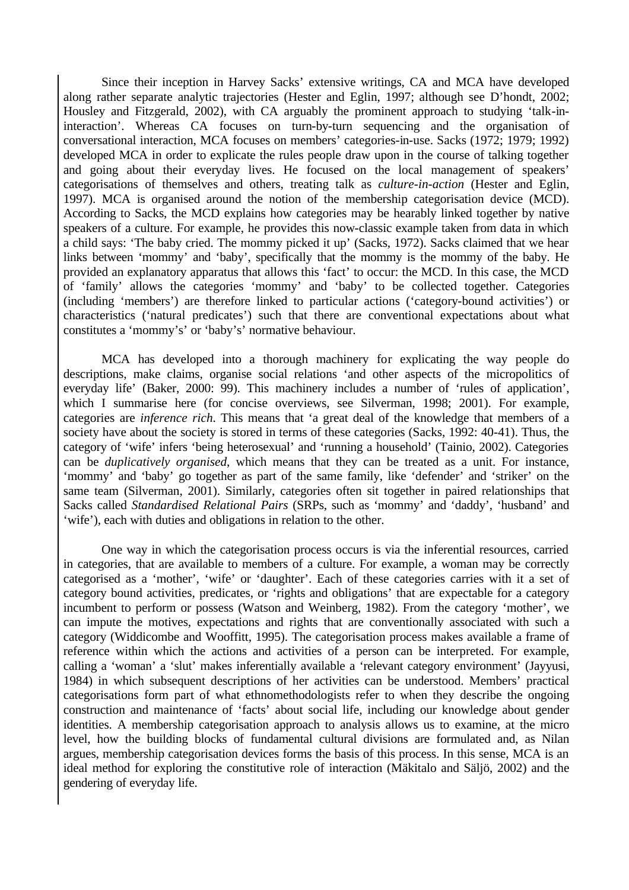Since their inception in Harvey Sacks' extensive writings, CA and MCA have developed along rather separate analytic trajectories (Hester and Eglin, 1997; although see D'hondt, 2002; Housley and Fitzgerald, 2002), with CA arguably the prominent approach to studying 'talk-ininteraction'. Whereas CA focuses on turn-by-turn sequencing and the organisation of conversational interaction, MCA focuses on members' categories-in-use. Sacks (1972; 1979; 1992) developed MCA in order to explicate the rules people draw upon in the course of talking together and going about their everyday lives. He focused on the local management of speakers' categorisations of themselves and others, treating talk as *culture-in-action* (Hester and Eglin, 1997). MCA is organised around the notion of the membership categorisation device (MCD). According to Sacks, the MCD explains how categories may be hearably linked together by native speakers of a culture. For example, he provides this now-classic example taken from data in which a child says: 'The baby cried. The mommy picked it up' (Sacks, 1972). Sacks claimed that we hear links between 'mommy' and 'baby', specifically that the mommy is the mommy of the baby. He provided an explanatory apparatus that allows this 'fact' to occur: the MCD. In this case, the MCD of 'family' allows the categories 'mommy' and 'baby' to be collected together. Categories (including 'members') are therefore linked to particular actions ('category-bound activities') or characteristics ('natural predicates') such that there are conventional expectations about what constitutes a 'mommy's' or 'baby's' normative behaviour.

MCA has developed into a thorough machinery for explicating the way people do descriptions, make claims, organise social relations 'and other aspects of the micropolitics of everyday life' (Baker, 2000: 99). This machinery includes a number of 'rules of application', which I summarise here (for concise overviews, see Silverman, 1998; 2001). For example, categories are *inference rich*. This means that 'a great deal of the knowledge that members of a society have about the society is stored in terms of these categories (Sacks, 1992: 40-41). Thus, the category of 'wife' infers 'being heterosexual' and 'running a household' (Tainio, 2002). Categories can be *duplicatively organised*, which means that they can be treated as a unit. For instance, 'mommy' and 'baby' go together as part of the same family, like 'defender' and 'striker' on the same team (Silverman, 2001). Similarly, categories often sit together in paired relationships that Sacks called *Standardised Relational Pairs* (SRPs, such as 'mommy' and 'daddy', 'husband' and 'wife'), each with duties and obligations in relation to the other.

One way in which the categorisation process occurs is via the inferential resources, carried in categories, that are available to members of a culture. For example, a woman may be correctly categorised as a 'mother', 'wife' or 'daughter'. Each of these categories carries with it a set of category bound activities, predicates, or 'rights and obligations' that are expectable for a category incumbent to perform or possess (Watson and Weinberg, 1982). From the category 'mother', we can impute the motives, expectations and rights that are conventionally associated with such a category (Widdicombe and Wooffitt, 1995). The categorisation process makes available a frame of reference within which the actions and activities of a person can be interpreted. For example, calling a 'woman' a 'slut' makes inferentially available a 'relevant category environment' (Jayyusi, 1984) in which subsequent descriptions of her activities can be understood. Members' practical categorisations form part of what ethnomethodologists refer to when they describe the ongoing construction and maintenance of 'facts' about social life, including our knowledge about gender identities. A membership categorisation approach to analysis allows us to examine, at the micro level, how the building blocks of fundamental cultural divisions are formulated and, as Nilan argues, membership categorisation devices forms the basis of this process. In this sense, MCA is an ideal method for exploring the constitutive role of interaction (Mäkitalo and Säljö, 2002) and the gendering of everyday life.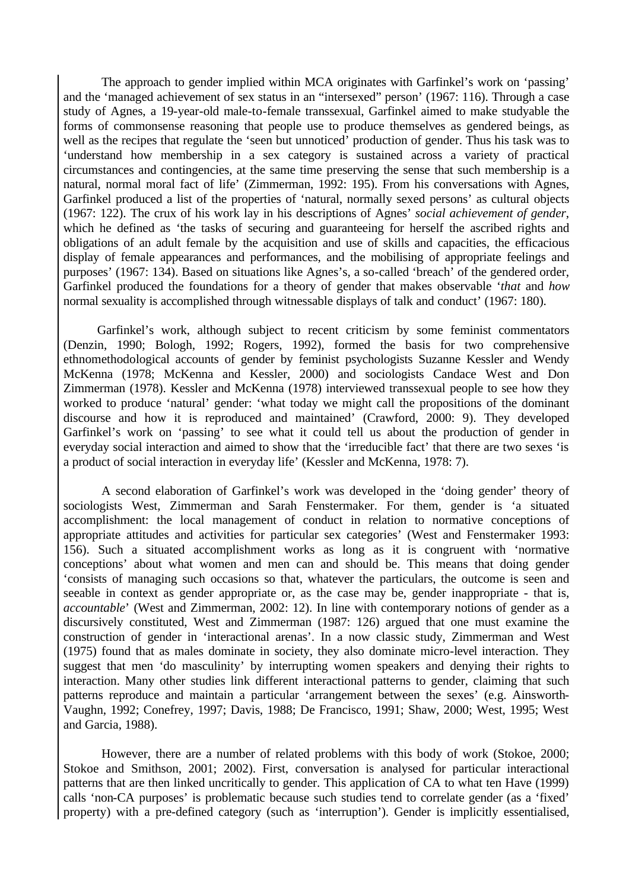The approach to gender implied within MCA originates with Garfinkel's work on 'passing' and the 'managed achievement of sex status in an "intersexed" person' (1967: 116). Through a case study of Agnes, a 19-year-old male-to-female transsexual, Garfinkel aimed to make studyable the forms of commonsense reasoning that people use to produce themselves as gendered beings, as well as the recipes that regulate the 'seen but unnoticed' production of gender. Thus his task was to 'understand how membership in a sex category is sustained across a variety of practical circumstances and contingencies, at the same time preserving the sense that such membership is a natural, normal moral fact of life' (Zimmerman, 1992: 195). From his conversations with Agnes, Garfinkel produced a list of the properties of 'natural, normally sexed persons' as cultural objects (1967: 122). The crux of his work lay in his descriptions of Agnes' *social achievement of gender*, which he defined as 'the tasks of securing and guaranteeing for herself the ascribed rights and obligations of an adult female by the acquisition and use of skills and capacities, the efficacious display of female appearances and performances, and the mobilising of appropriate feelings and purposes' (1967: 134). Based on situations like Agnes's, a so-called 'breach' of the gendered order, Garfinkel produced the foundations for a theory of gender that makes observable '*that* and *how* normal sexuality is accomplished through witnessable displays of talk and conduct' (1967: 180).

Garfinkel's work, although subject to recent criticism by some feminist commentators (Denzin, 1990; Bologh, 1992; Rogers, 1992), formed the basis for two comprehensive ethnomethodological accounts of gender by feminist psychologists Suzanne Kessler and Wendy McKenna (1978; McKenna and Kessler, 2000) and sociologists Candace West and Don Zimmerman (1978). Kessler and McKenna (1978) interviewed transsexual people to see how they worked to produce 'natural' gender: 'what today we might call the propositions of the dominant discourse and how it is reproduced and maintained' (Crawford, 2000: 9). They developed Garfinkel's work on 'passing' to see what it could tell us about the production of gender in everyday social interaction and aimed to show that the 'irreducible fact' that there are two sexes 'is a product of social interaction in everyday life' (Kessler and McKenna, 1978: 7).

A second elaboration of Garfinkel's work was developed in the 'doing gender' theory of sociologists West, Zimmerman and Sarah Fenstermaker. For them, gender is 'a situated accomplishment: the local management of conduct in relation to normative conceptions of appropriate attitudes and activities for particular sex categories' (West and Fenstermaker 1993: 156). Such a situated accomplishment works as long as it is congruent with 'normative conceptions' about what women and men can and should be. This means that doing gender 'consists of managing such occasions so that, whatever the particulars, the outcome is seen and seeable in context as gender appropriate or, as the case may be, gender inappropriate - that is, *accountable*' (West and Zimmerman, 2002: 12). In line with contemporary notions of gender as a discursively constituted, West and Zimmerman (1987: 126) argued that one must examine the construction of gender in 'interactional arenas'. In a now classic study, Zimmerman and West (1975) found that as males dominate in society, they also dominate micro-level interaction. They suggest that men 'do masculinity' by interrupting women speakers and denying their rights to interaction. Many other studies link different interactional patterns to gender, claiming that such patterns reproduce and maintain a particular 'arrangement between the sexes' (e.g. Ainsworth-Vaughn, 1992; Conefrey, 1997; Davis, 1988; De Francisco, 1991; Shaw, 2000; West, 1995; West and Garcia, 1988).

However, there are a number of related problems with this body of work (Stokoe, 2000; Stokoe and Smithson, 2001; 2002). First, conversation is analysed for particular interactional patterns that are then linked uncritically to gender. This application of CA to what ten Have (1999) calls 'non-CA purposes' is problematic because such studies tend to correlate gender (as a 'fixed' property) with a pre-defined category (such as 'interruption'). Gender is implicitly essentialised,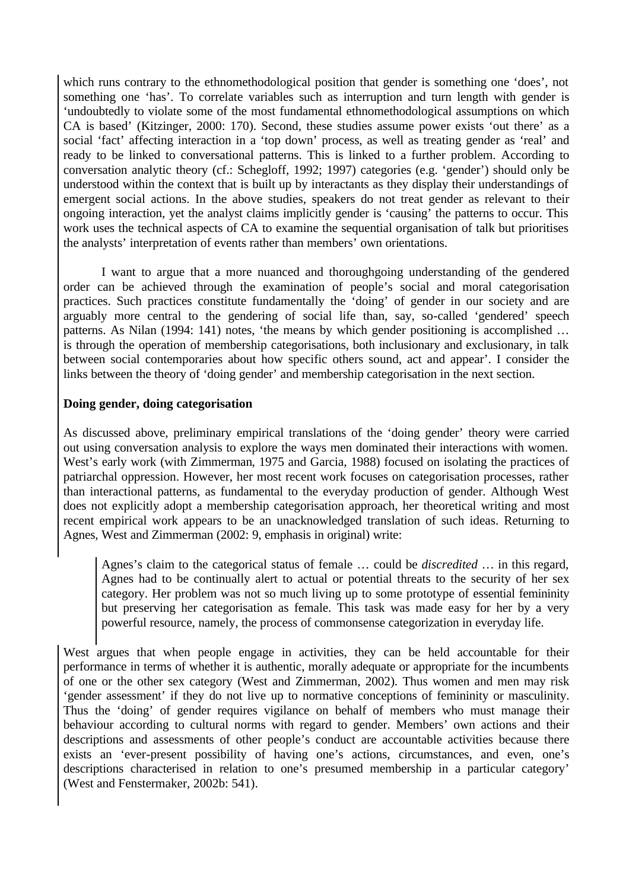which runs contrary to the ethnomethodological position that gender is something one 'does', not something one 'has'. To correlate variables such as interruption and turn length with gender is 'undoubtedly to violate some of the most fundamental ethnomethodological assumptions on which CA is based' (Kitzinger, 2000: 170). Second, these studies assume power exists 'out there' as a social 'fact' affecting interaction in a 'top down' process, as well as treating gender as 'real' and ready to be linked to conversational patterns. This is linked to a further problem. According to conversation analytic theory (cf.: Schegloff, 1992; 1997) categories (e.g. 'gender') should only be understood within the context that is built up by interactants as they display their understandings of emergent social actions. In the above studies, speakers do not treat gender as relevant to their ongoing interaction, yet the analyst claims implicitly gender is 'causing' the patterns to occur. This work uses the technical aspects of CA to examine the sequential organisation of talk but prioritises the analysts' interpretation of events rather than members' own orientations.

I want to argue that a more nuanced and thoroughgoing understanding of the gendered order can be achieved through the examination of people's social and moral categorisation practices. Such practices constitute fundamentally the 'doing' of gender in our society and are arguably more central to the gendering of social life than, say, so-called 'gendered' speech patterns. As Nilan (1994: 141) notes, 'the means by which gender positioning is accomplished ... is through the operation of membership categorisations, both inclusionary and exclusionary, in talk between social contemporaries about how specific others sound, act and appear'. I consider the links between the theory of 'doing gender' and membership categorisation in the next section.

### **Doing gender, doing categorisation**

As discussed above, preliminary empirical translations of the 'doing gender' theory were carried out using conversation analysis to explore the ways men dominated their interactions with women. West's early work (with Zimmerman, 1975 and Garcia, 1988) focused on isolating the practices of patriarchal oppression. However, her most recent work focuses on categorisation processes, rather than interactional patterns, as fundamental to the everyday production of gender. Although West does not explicitly adopt a membership categorisation approach, her theoretical writing and most recent empirical work appears to be an unacknowledged translation of such ideas. Returning to Agnes, West and Zimmerman (2002: 9, emphasis in original) write:

Agnes's claim to the categorical status of female … could be *discredited* … in this regard, Agnes had to be continually alert to actual or potential threats to the security of her sex category. Her problem was not so much living up to some prototype of essential femininity but preserving her categorisation as female. This task was made easy for her by a very powerful resource, namely, the process of commonsense categorization in everyday life.

West argues that when people engage in activities, they can be held accountable for their performance in terms of whether it is authentic, morally adequate or appropriate for the incumbents of one or the other sex category (West and Zimmerman, 2002). Thus women and men may risk 'gender assessment' if they do not live up to normative conceptions of femininity or masculinity. Thus the 'doing' of gender requires vigilance on behalf of members who must manage their behaviour according to cultural norms with regard to gender. Members' own actions and their descriptions and assessments of other people's conduct are accountable activities because there exists an 'ever-present possibility of having one's actions, circumstances, and even, one's descriptions characterised in relation to one's presumed membership in a particular category' (West and Fenstermaker, 2002b: 541).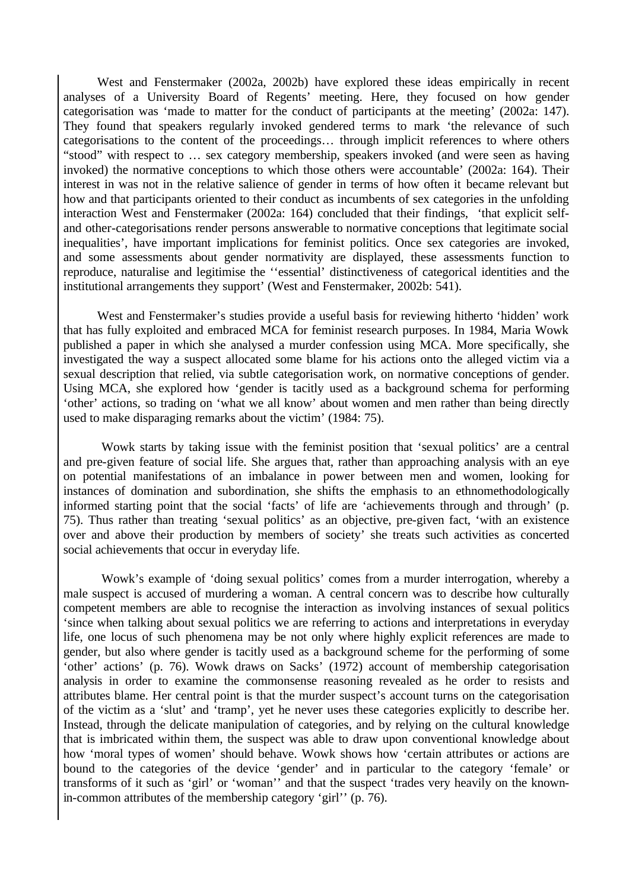West and Fenstermaker (2002a, 2002b) have explored these ideas empirically in recent analyses of a University Board of Regents' meeting. Here, they focused on how gender categorisation was 'made to matter for the conduct of participants at the meeting' (2002a: 147). They found that speakers regularly invoked gendered terms to mark 'the relevance of such categorisations to the content of the proceedings… through implicit references to where others "stood" with respect to … sex category membership, speakers invoked (and were seen as having invoked) the normative conceptions to which those others were accountable' (2002a: 164). Their interest in was not in the relative salience of gender in terms of how often it became relevant but how and that participants oriented to their conduct as incumbents of sex categories in the unfolding interaction West and Fenstermaker (2002a: 164) concluded that their findings, 'that explicit selfand other-categorisations render persons answerable to normative conceptions that legitimate social inequalities', have important implications for feminist politics. Once sex categories are invoked, and some assessments about gender normativity are displayed, these assessments function to reproduce, naturalise and legitimise the ''essential' distinctiveness of categorical identities and the institutional arrangements they support' (West and Fenstermaker, 2002b: 541).

West and Fenstermaker's studies provide a useful basis for reviewing hitherto 'hidden' work that has fully exploited and embraced MCA for feminist research purposes. In 1984, Maria Wowk published a paper in which she analysed a murder confession using MCA. More specifically, she investigated the way a suspect allocated some blame for his actions onto the alleged victim via a sexual description that relied, via subtle categorisation work, on normative conceptions of gender. Using MCA, she explored how 'gender is tacitly used as a background schema for performing 'other' actions, so trading on 'what we all know' about women and men rather than being directly used to make disparaging remarks about the victim' (1984: 75).

Wowk starts by taking issue with the feminist position that 'sexual politics' are a central and pre-given feature of social life. She argues that, rather than approaching analysis with an eye on potential manifestations of an imbalance in power between men and women, looking for instances of domination and subordination, she shifts the emphasis to an ethnomethodologically informed starting point that the social 'facts' of life are 'achievements through and through' (p. 75). Thus rather than treating 'sexual politics' as an objective, pre-given fact, 'with an existence over and above their production by members of society' she treats such activities as concerted social achievements that occur in everyday life.

Wowk's example of 'doing sexual politics' comes from a murder interrogation, whereby a male suspect is accused of murdering a woman. A central concern was to describe how culturally competent members are able to recognise the interaction as involving instances of sexual politics 'since when talking about sexual politics we are referring to actions and interpretations in everyday life, one locus of such phenomena may be not only where highly explicit references are made to gender, but also where gender is tacitly used as a background scheme for the performing of some 'other' actions' (p. 76). Wowk draws on Sacks' (1972) account of membership categorisation analysis in order to examine the commonsense reasoning revealed as he order to resists and attributes blame. Her central point is that the murder suspect's account turns on the categorisation of the victim as a 'slut' and 'tramp', yet he never uses these categories explicitly to describe her. Instead, through the delicate manipulation of categories, and by relying on the cultural knowledge that is imbricated within them, the suspect was able to draw upon conventional knowledge about how 'moral types of women' should behave. Wowk shows how 'certain attributes or actions are bound to the categories of the device 'gender' and in particular to the category 'female' or transforms of it such as 'girl' or 'woman'' and that the suspect 'trades very heavily on the knownin-common attributes of the membership category 'girl'' (p. 76).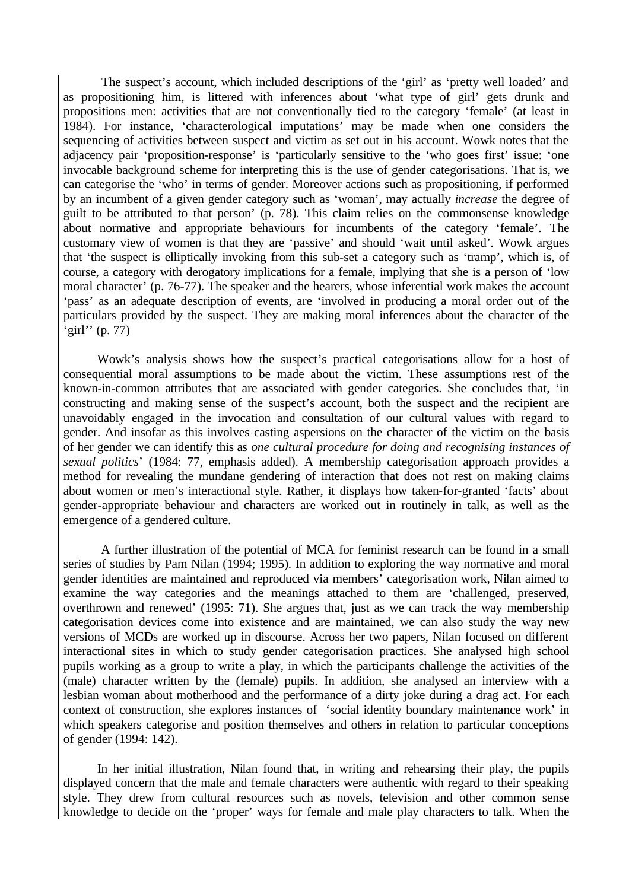The suspect's account, which included descriptions of the 'girl' as 'pretty well loaded' and as propositioning him, is littered with inferences about 'what type of girl' gets drunk and propositions men: activities that are not conventionally tied to the category 'female' (at least in 1984). For instance, 'characterological imputations' may be made when one considers the sequencing of activities between suspect and victim as set out in his account. Wowk notes that the adjacency pair 'proposition-response' is 'particularly sensitive to the 'who goes first' issue: 'one invocable background scheme for interpreting this is the use of gender categorisations. That is, we can categorise the 'who' in terms of gender. Moreover actions such as propositioning, if performed by an incumbent of a given gender category such as 'woman', may actually *increase* the degree of guilt to be attributed to that person' (p. 78). This claim relies on the commonsense knowledge about normative and appropriate behaviours for incumbents of the category 'female'. The customary view of women is that they are 'passive' and should 'wait until asked'. Wowk argues that 'the suspect is elliptically invoking from this sub-set a category such as 'tramp', which is, of course, a category with derogatory implications for a female, implying that she is a person of 'low moral character' (p. 76-77). The speaker and the hearers, whose inferential work makes the account 'pass' as an adequate description of events, are 'involved in producing a moral order out of the particulars provided by the suspect. They are making moral inferences about the character of the 'girl'' (p. 77)

Wowk's analysis shows how the suspect's practical categorisations allow for a host of consequential moral assumptions to be made about the victim. These assumptions rest of the known-in-common attributes that are associated with gender categories. She concludes that, 'in constructing and making sense of the suspect's account, both the suspect and the recipient are unavoidably engaged in the invocation and consultation of our cultural values with regard to gender. And insofar as this involves casting aspersions on the character of the victim on the basis of her gender we can identify this as *one cultural procedure for doing and recognising instances of sexual politics*' (1984: 77, emphasis added). A membership categorisation approach provides a method for revealing the mundane gendering of interaction that does not rest on making claims about women or men's interactional style. Rather, it displays how taken-for-granted 'facts' about gender-appropriate behaviour and characters are worked out in routinely in talk, as well as the emergence of a gendered culture.

 A further illustration of the potential of MCA for feminist research can be found in a small series of studies by Pam Nilan (1994; 1995). In addition to exploring the way normative and moral gender identities are maintained and reproduced via members' categorisation work, Nilan aimed to examine the way categories and the meanings attached to them are 'challenged, preserved, overthrown and renewed' (1995: 71). She argues that, just as we can track the way membership categorisation devices come into existence and are maintained, we can also study the way new versions of MCDs are worked up in discourse. Across her two papers, Nilan focused on different interactional sites in which to study gender categorisation practices. She analysed high school pupils working as a group to write a play, in which the participants challenge the activities of the (male) character written by the (female) pupils. In addition, she analysed an interview with a lesbian woman about motherhood and the performance of a dirty joke during a drag act. For each context of construction, she explores instances of 'social identity boundary maintenance work' in which speakers categorise and position themselves and others in relation to particular conceptions of gender (1994: 142).

In her initial illustration, Nilan found that, in writing and rehearsing their play, the pupils displayed concern that the male and female characters were authentic with regard to their speaking style. They drew from cultural resources such as novels, television and other common sense knowledge to decide on the 'proper' ways for female and male play characters to talk. When the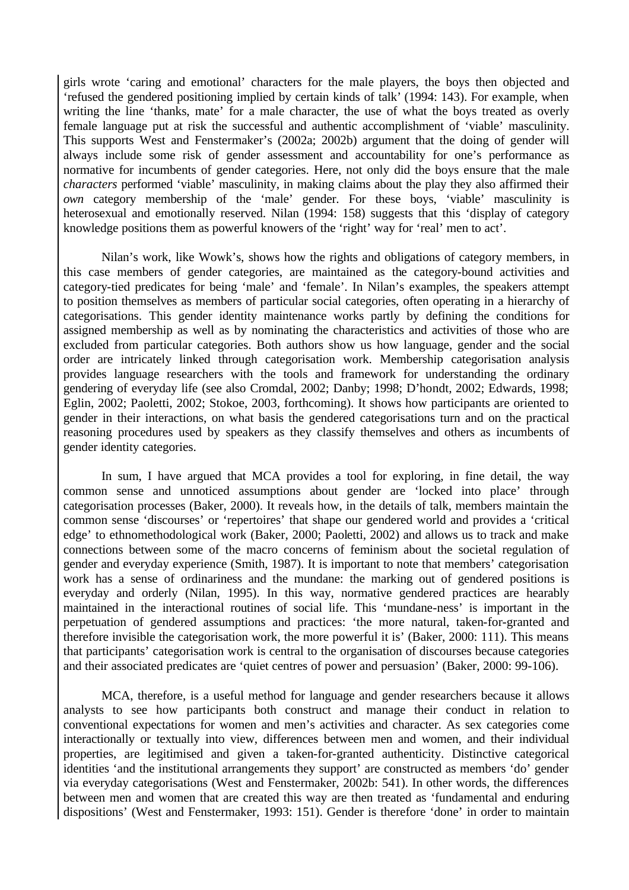girls wrote 'caring and emotional' characters for the male players, the boys then objected and 'refused the gendered positioning implied by certain kinds of talk' (1994: 143). For example, when writing the line 'thanks, mate' for a male character, the use of what the boys treated as overly female language put at risk the successful and authentic accomplishment of 'viable' masculinity. This supports West and Fenstermaker's (2002a; 2002b) argument that the doing of gender will always include some risk of gender assessment and accountability for one's performance as normative for incumbents of gender categories. Here, not only did the boys ensure that the male *characters* performed 'viable' masculinity, in making claims about the play they also affirmed their *own* category membership of the 'male' gender. For these boys, 'viable' masculinity is heterosexual and emotionally reserved. Nilan (1994: 158) suggests that this 'display of category knowledge positions them as powerful knowers of the 'right' way for 'real' men to act'.

Nilan's work, like Wowk's, shows how the rights and obligations of category members, in this case members of gender categories, are maintained as the category-bound activities and category-tied predicates for being 'male' and 'female'. In Nilan's examples, the speakers attempt to position themselves as members of particular social categories, often operating in a hierarchy of categorisations. This gender identity maintenance works partly by defining the conditions for assigned membership as well as by nominating the characteristics and activities of those who are excluded from particular categories. Both authors show us how language, gender and the social order are intricately linked through categorisation work. Membership categorisation analysis provides language researchers with the tools and framework for understanding the ordinary gendering of everyday life (see also Cromdal, 2002; Danby; 1998; D'hondt, 2002; Edwards, 1998; Eglin, 2002; Paoletti, 2002; Stokoe, 2003, forthcoming). It shows how participants are oriented to gender in their interactions, on what basis the gendered categorisations turn and on the practical reasoning procedures used by speakers as they classify themselves and others as incumbents of gender identity categories.

In sum, I have argued that MCA provides a tool for exploring, in fine detail, the way common sense and unnoticed assumptions about gender are 'locked into place' through categorisation processes (Baker, 2000). It reveals how, in the details of talk, members maintain the common sense 'discourses' or 'repertoires' that shape our gendered world and provides a 'critical edge' to ethnomethodological work (Baker, 2000; Paoletti, 2002) and allows us to track and make connections between some of the macro concerns of feminism about the societal regulation of gender and everyday experience (Smith, 1987). It is important to note that members' categorisation work has a sense of ordinariness and the mundane: the marking out of gendered positions is everyday and orderly (Nilan, 1995). In this way, normative gendered practices are hearably maintained in the interactional routines of social life. This 'mundane-ness' is important in the perpetuation of gendered assumptions and practices: 'the more natural, taken-for-granted and therefore invisible the categorisation work, the more powerful it is' (Baker, 2000: 111). This means that participants' categorisation work is central to the organisation of discourses because categories and their associated predicates are 'quiet centres of power and persuasion' (Baker, 2000: 99-106).

MCA, therefore, is a useful method for language and gender researchers because it allows analysts to see how participants both construct and manage their conduct in relation to conventional expectations for women and men's activities and character. As sex categories come interactionally or textually into view, differences between men and women, and their individual properties, are legitimised and given a taken-for-granted authenticity. Distinctive categorical identities 'and the institutional arrangements they support' are constructed as members 'do' gender via everyday categorisations (West and Fenstermaker, 2002b: 541). In other words, the differences between men and women that are created this way are then treated as 'fundamental and enduring dispositions' (West and Fenstermaker, 1993: 151). Gender is therefore 'done' in order to maintain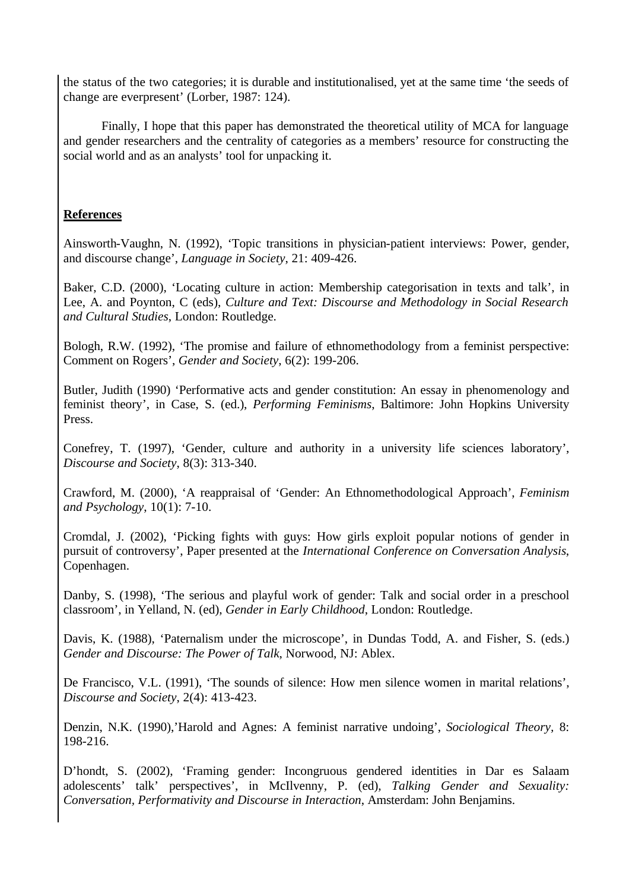the status of the two categories; it is durable and institutionalised, yet at the same time 'the seeds of change are everpresent' (Lorber, 1987: 124).

Finally, I hope that this paper has demonstrated the theoretical utility of MCA for language and gender researchers and the centrality of categories as a members' resource for constructing the social world and as an analysts' tool for unpacking it.

### **References**

Ainsworth-Vaughn, N. (1992), 'Topic transitions in physician-patient interviews: Power, gender, and discourse change', *Language in Society*, 21: 409-426.

Baker, C.D. (2000), 'Locating culture in action: Membership categorisation in texts and talk', in Lee, A. and Poynton, C (eds), *Culture and Text: Discourse and Methodology in Social Research and Cultural Studies*, London: Routledge.

Bologh, R.W. (1992), 'The promise and failure of ethnomethodology from a feminist perspective: Comment on Rogers', *Gender and Society*, 6(2): 199-206.

Butler, Judith (1990) 'Performative acts and gender constitution: An essay in phenomenology and feminist theory', in Case, S. (ed.), *Performing Feminisms*, Baltimore: John Hopkins University Press.

Conefrey, T. (1997), 'Gender, culture and authority in a university life sciences laboratory', *Discourse and Society*, 8(3): 313-340.

Crawford, M. (2000), 'A reappraisal of 'Gender: An Ethnomethodological Approach', *Feminism and Psychology*, 10(1): 7-10.

Cromdal, J. (2002), 'Picking fights with guys: How girls exploit popular notions of gender in pursuit of controversy', Paper presented at the *International Conference on Conversation Analysis*, Copenhagen.

Danby, S. (1998), 'The serious and playful work of gender: Talk and social order in a preschool classroom', in Yelland, N. (ed), *Gender in Early Childhood*, London: Routledge.

Davis, K. (1988), 'Paternalism under the microscope', in Dundas Todd, A. and Fisher, S. (eds.) *Gender and Discourse: The Power of Talk*, Norwood, NJ: Ablex.

De Francisco, V.L. (1991), 'The sounds of silence: How men silence women in marital relations', *Discourse and Society*, 2(4): 413-423.

Denzin, N.K. (1990),'Harold and Agnes: A feminist narrative undoing', *Sociological Theory,* 8: 198-216.

D'hondt, S. (2002), 'Framing gender: Incongruous gendered identities in Dar es Salaam adolescents' talk' perspectives', in McIlvenny, P. (ed), *Talking Gender and Sexuality: Conversation, Performativity and Discourse in Interaction*, Amsterdam: John Benjamins.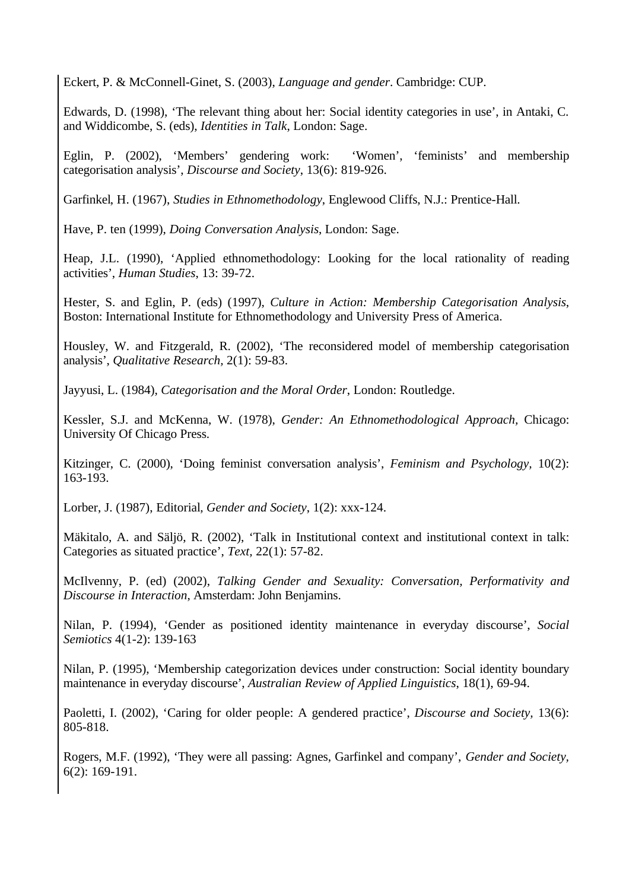Eckert, P. & McConnell-Ginet, S. (2003), *Language and gender*. Cambridge: CUP.

Edwards, D. (1998), 'The relevant thing about her: Social identity categories in use', in Antaki, C. and Widdicombe, S. (eds), *Identities in Talk*, London: Sage.

Eglin, P. (2002), 'Members' gendering work: 'Women', 'feminists' and membership categorisation analysis', *Discourse and Society*, 13(6): 819-926.

Garfinkel, H. (1967), *Studies in Ethnomethodology*, Englewood Cliffs, N.J.: Prentice-Hall.

Have, P. ten (1999), *Doing Conversation Analysis*, London: Sage.

Heap, J.L. (1990), 'Applied ethnomethodology: Looking for the local rationality of reading activities', *Human Studies*, 13: 39-72.

Hester, S. and Eglin, P. (eds) (1997), *Culture in Action: Membership Categorisation Analysis*, Boston: International Institute for Ethnomethodology and University Press of America.

Housley, W. and Fitzgerald, R. (2002), 'The reconsidered model of membership categorisation analysis', *Qualitative Research,* 2(1): 59-83.

Jayyusi, L. (1984), *Categorisation and the Moral Order*, London: Routledge.

Kessler, S.J. and McKenna, W. (1978), *Gender: An Ethnomethodological Approach,* Chicago: University Of Chicago Press.

Kitzinger, C. (2000), 'Doing feminist conversation analysis', *Feminism and Psychology,* 10(2): 163-193.

Lorber, J. (1987), Editorial*, Gender and Society*, 1(2): xxx-124.

Mäkitalo, A. and Säljö, R. (2002), 'Talk in Institutional context and institutional context in talk: Categories as situated practice', *Text,* 22(1): 57-82.

McIlvenny, P. (ed) (2002), *Talking Gender and Sexuality: Conversation, Performativity and Discourse in Interaction*, Amsterdam: John Benjamins.

Nilan, P. (1994), 'Gender as positioned identity maintenance in everyday discourse', *Social Semiotics* 4(1-2): 139-163

Nilan, P. (1995), 'Membership categorization devices under construction: Social identity boundary maintenance in everyday discourse', *Australian Review of Applied Linguistics*, 18(1), 69-94.

Paoletti, I. (2002), 'Caring for older people: A gendered practice', *Discourse and Society,* 13(6): 805-818.

Rogers, M.F. (1992), 'They were all passing: Agnes, Garfinkel and company', *Gender and Society,* 6(2): 169-191.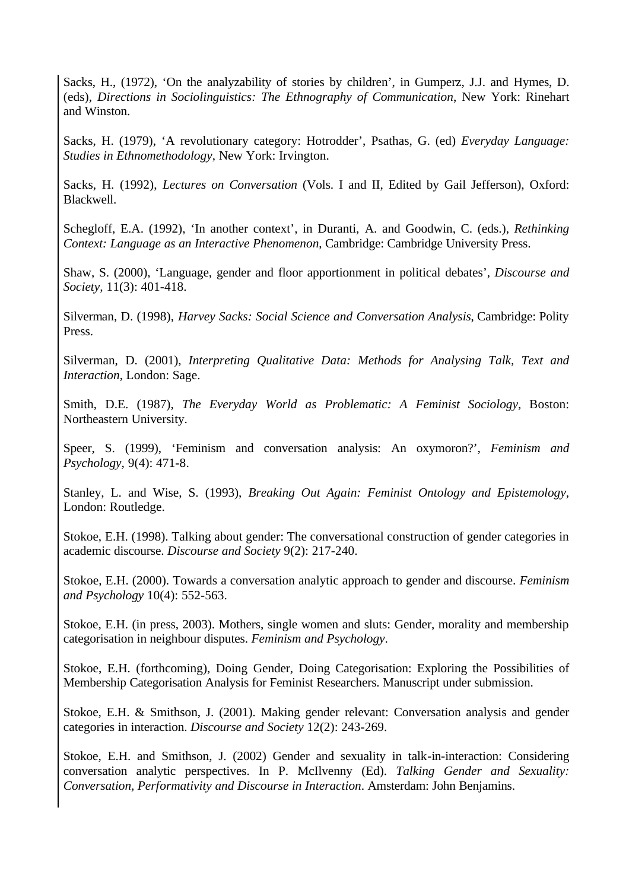Sacks, H., (1972), 'On the analyzability of stories by children', in Gumperz, J.J. and Hymes, D. (eds), *Directions in Sociolinguistics: The Ethnography of Communication*, New York: Rinehart and Winston.

Sacks, H. (1979), 'A revolutionary category: Hotrodder', Psathas, G. (ed) *Everyday Language: Studies in Ethnomethodology*, New York: Irvington.

Sacks, H. (1992), *Lectures on Conversation* (Vols. I and II, Edited by Gail Jefferson), Oxford: Blackwell.

Schegloff, E.A. (1992), 'In another context', in Duranti, A. and Goodwin, C. (eds.), *Rethinking Context: Language as an Interactive Phenomenon*, Cambridge: Cambridge University Press.

Shaw, S. (2000), 'Language, gender and floor apportionment in political debates', *Discourse and Society,* 11(3): 401-418.

Silverman, D. (1998), *Harvey Sacks: Social Science and Conversation Analysis*, Cambridge: Polity Press.

Silverman, D. (2001), *Interpreting Qualitative Data: Methods for Analysing Talk, Text and Interaction*, London: Sage.

Smith, D.E. (1987), *The Everyday World as Problematic: A Feminist Sociology*, Boston: Northeastern University.

Speer, S. (1999), 'Feminism and conversation analysis: An oxymoron?', *Feminism and Psychology,* 9(4): 471-8.

Stanley, L. and Wise, S. (1993), *Breaking Out Again: Feminist Ontology and Epistemology*, London: Routledge.

Stokoe, E.H. (1998). Talking about gender: The conversational construction of gender categories in academic discourse. *Discourse and Society* 9(2): 217-240.

Stokoe, E.H. (2000). Towards a conversation analytic approach to gender and discourse. *Feminism and Psychology* 10(4): 552-563.

Stokoe, E.H. (in press, 2003). Mothers, single women and sluts: Gender, morality and membership categorisation in neighbour disputes. *Feminism and Psychology*.

Stokoe, E.H. (forthcoming), Doing Gender, Doing Categorisation: Exploring the Possibilities of Membership Categorisation Analysis for Feminist Researchers. Manuscript under submission.

Stokoe, E.H. & Smithson, J. (2001). Making gender relevant: Conversation analysis and gender categories in interaction. *Discourse and Society* 12(2): 243-269.

Stokoe, E.H. and Smithson, J. (2002) Gender and sexuality in talk-in-interaction: Considering conversation analytic perspectives. In P. McIlvenny (Ed). *Talking Gender and Sexuality: Conversation, Performativity and Discourse in Interaction*. Amsterdam: John Benjamins.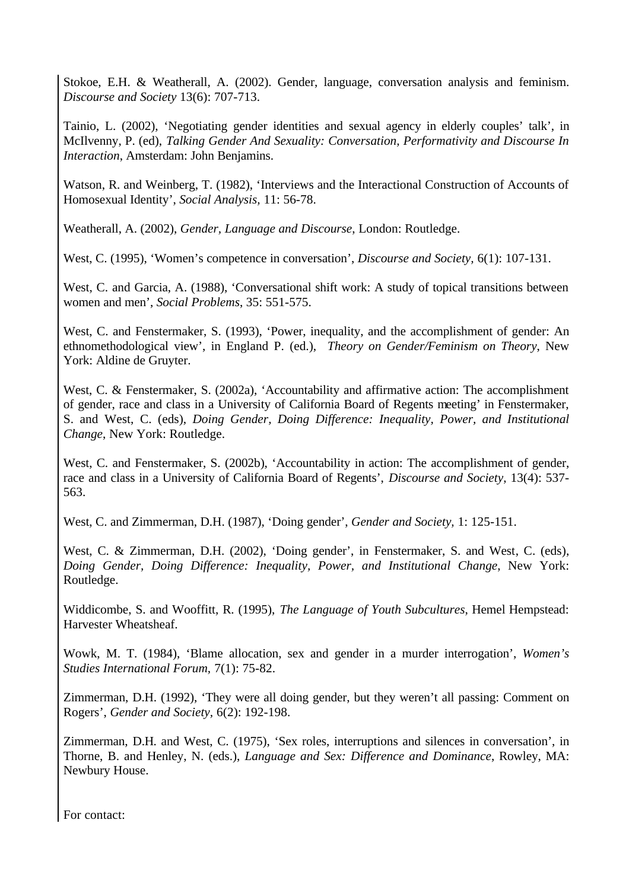Stokoe, E.H. & Weatherall, A. (2002). Gender, language, conversation analysis and feminism. *Discourse and Society* 13(6): 707-713.

Tainio, L. (2002), 'Negotiating gender identities and sexual agency in elderly couples' talk', in McIlvenny, P. (ed), *Talking Gender And Sexuality: Conversation, Performativity and Discourse In Interaction*, Amsterdam: John Benjamins.

Watson, R. and Weinberg, T. (1982), 'Interviews and the Interactional Construction of Accounts of Homosexual Identity', *Social Analysis,* 11: 56-78.

Weatherall, A. (2002), *Gender, Language and Discourse*, London: Routledge.

West, C. (1995), 'Women's competence in conversation', *Discourse and Society,* 6(1): 107-131.

West, C. and Garcia, A. (1988), 'Conversational shift work: A study of topical transitions between women and men', *Social Problems*, 35: 551-575.

West, C. and Fenstermaker, S. (1993), 'Power, inequality, and the accomplishment of gender: An ethnomethodological view', in England P. (ed.), *Theory on Gender/Feminism on Theory*, New York: Aldine de Gruyter.

West, C. & Fenstermaker, S. (2002a), 'Accountability and affirmative action: The accomplishment of gender, race and class in a University of California Board of Regents meeting' in Fenstermaker, S. and West, C. (eds), *Doing Gender, Doing Difference: Inequality, Power, and Institutional Change*, New York: Routledge.

West, C. and Fenstermaker, S. (2002b), 'Accountability in action: The accomplishment of gender, race and class in a University of California Board of Regents', *Discourse and Society*, 13(4): 537- 563.

West, C. and Zimmerman, D.H. (1987), 'Doing gender', *Gender and Society,* 1: 125-151.

West, C. & Zimmerman, D.H. (2002), 'Doing gender', in Fenstermaker, S. and West, C. (eds), *Doing Gender, Doing Difference: Inequality, Power, and Institutional Change*, New York: Routledge.

Widdicombe, S. and Wooffitt, R. (1995), *The Language of Youth Subcultures*, Hemel Hempstead: Harvester Wheatsheaf.

Wowk, M. T. (1984), 'Blame allocation, sex and gender in a murder interrogation', *Women's Studies International Forum,* 7(1): 75-82.

Zimmerman, D.H. (1992), 'They were all doing gender, but they weren't all passing: Comment on Rogers', *Gender and Society,* 6(2): 192-198.

Zimmerman, D.H. and West, C. (1975), 'Sex roles, interruptions and silences in conversation', in Thorne, B. and Henley, N. (eds.), *Language and Sex: Difference and Dominance*, Rowley, MA: Newbury House.

For contact: